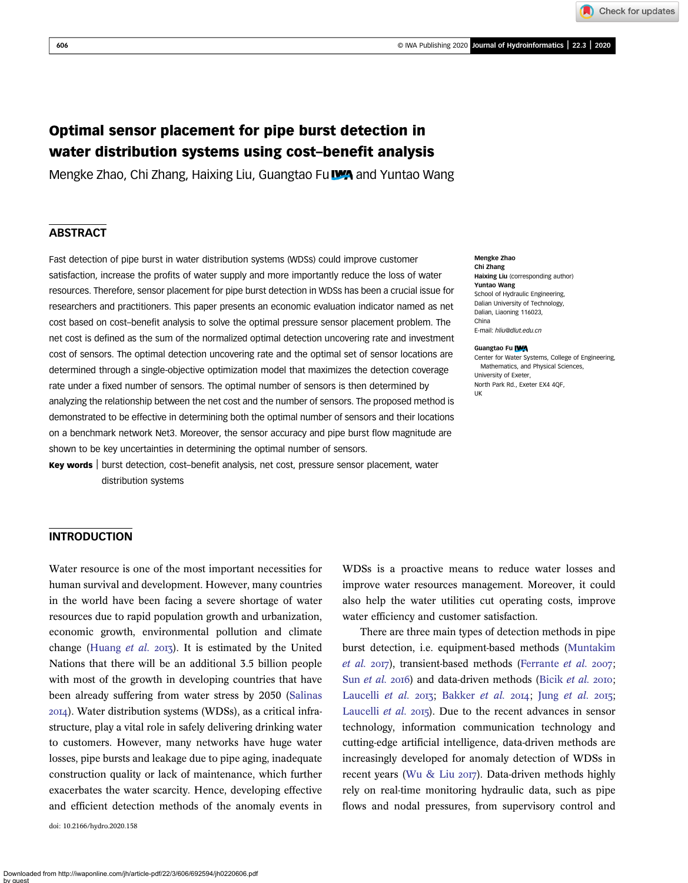Check for updates

# Optimal sensor placement for pipe burst detection in water distribution systems using cost–benefit analysis

Mengke Zhao, Chi Zhang, Haixing Liu, Guangtao Fu WA and Yuntao Wang

## **ABSTRACT**

Fast detection of pipe burst in water distribution systems (WDSs) could improve customer satisfaction, increase the profits of water supply and more importantly reduce the loss of water resources. Therefore, sensor placement for pipe burst detection in WDSs has been a crucial issue for researchers and practitioners. This paper presents an economic evaluation indicator named as net cost based on cost–benefit analysis to solve the optimal pressure sensor placement problem. The net cost is defined as the sum of the normalized optimal detection uncovering rate and investment cost of sensors. The optimal detection uncovering rate and the optimal set of sensor locations are determined through a single-objective optimization model that maximizes the detection coverage rate under a fixed number of sensors. The optimal number of sensors is then determined by analyzing the relationship between the net cost and the number of sensors. The proposed method is demonstrated to be effective in determining both the optimal number of sensors and their locations on a benchmark network Net3. Moreover, the sensor accuracy and pipe burst flow magnitude are shown to be key uncertainties in determining the optimal number of sensors.

Key words | burst detection, cost–benefit analysis, net cost, pressure sensor placement, water distribution systems

Mengke Zhao Chi Zhang Haixing Liu (corresponding author) Yuntao Wang School of Hydraulic Engineering, Dalian University of Technology, Dalian, Liaoning 116023, China E-mail: [hliu@dlut.edu.cn](mailto:hliu@dlut.edu.cn)

#### Guangtao Fu **IWA**

Center for Water Systems, College of Engineering, Mathematics, and Physical Sciences, University of Exeter, North Park Rd., Exeter EX4 4QF, UK

## INTRODUCTION

Water resource is one of the most important necessities for human survival and development. However, many countries in the world have been facing a severe shortage of water resources due to rapid population growth and urbanization, economic growth, environmental pollution and climate change ([Huang](#page-12-0) et al. 2013). It is estimated by the United Nations that there will be an additional 3.5 billion people with most of the growth in developing countries that have been already suffering from water stress by 2050 [\(Salinas](#page-12-0) ). Water distribution systems (WDSs), as a critical infrastructure, play a vital role in safely delivering drinking water to customers. However, many networks have huge water losses, pipe bursts and leakage due to pipe aging, inadequate construction quality or lack of maintenance, which further exacerbates the water scarcity. Hence, developing effective and efficient detection methods of the anomaly events in

doi: 10.2166/hydro.2020.158

WDSs is a proactive means to reduce water losses and improve water resources management. Moreover, it could also help the water utilities cut operating costs, improve water efficiency and customer satisfaction.

There are three main types of detection methods in pipe burst detection, i.e. equipment-based methods [\(Muntakim](#page-12-0) [et al.](#page-12-0)  $2017$ ), transient-based methods [\(Ferrante](#page-12-0) et al.  $2007$ ; Sun [et al.](#page-12-0) 2016) and data-driven methods ([Bicik](#page-11-0) et al. 2010; [Laucelli](#page-12-0) et al. 2013; [Bakker](#page-11-0) [et al.](#page-12-0) 2014; Jung et al. 2015; [Laucelli](#page-12-0) et al. 2015). Due to the recent advances in sensor technology, information communication technology and cutting-edge artificial intelligence, data-driven methods are increasingly developed for anomaly detection of WDSs in recent years ([Wu & Liu](#page-12-0) 2017). Data-driven methods highly rely on real-time monitoring hydraulic data, such as pipe flows and nodal pressures, from supervisory control and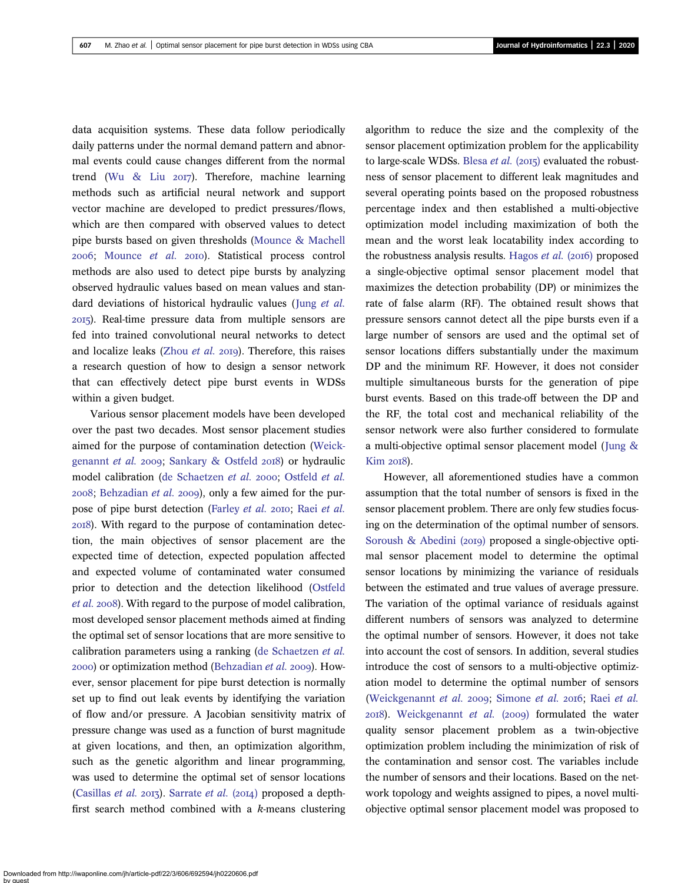data acquisition systems. These data follow periodically daily patterns under the normal demand pattern and abnormal events could cause changes different from the normal trend ([Wu & Liu](#page-12-0)  $20I7$ ). Therefore, machine learning methods such as artificial neural network and support vector machine are developed to predict pressures/flows, which are then compared with observed values to detect pipe bursts based on given thresholds [\(Mounce & Machell](#page-12-0) 2006; [Mounce](#page-12-0) et al. 2010). Statistical process control methods are also used to detect pipe bursts by analyzing observed hydraulic values based on mean values and standard deviations of historical hydraulic values (Jung [et al.](#page-12-0) ). Real-time pressure data from multiple sensors are fed into trained convolutional neural networks to detect and localize leaks ([Zhou](#page-12-0) et al. 2019). Therefore, this raises a research question of how to design a sensor network that can effectively detect pipe burst events in WDSs within a given budget.

Various sensor placement models have been developed over the past two decades. Most sensor placement studies aimed for the purpose of contamination detection ([Weick](#page-12-0)[genannt](#page-12-0) et al. 2009; [Sankary & Ostfeld](#page-12-0) 2018) or hydraulic model calibration [\(de Schaetzen](#page-11-0) et al. 2000; [Ostfeld](#page-12-0) et al.  $2008$ ; [Behzadian](#page-11-0) et al.  $2009$ ), only a few aimed for the pur-pose of pipe burst detection [\(Farley](#page-12-0) [et al.](#page-12-0) 2010; Raei et al. ). With regard to the purpose of contamination detection, the main objectives of sensor placement are the expected time of detection, expected population affected and expected volume of contaminated water consumed prior to detection and the detection likelihood ([Ostfeld](#page-12-0) [et al.](#page-12-0) 2008). With regard to the purpose of model calibration, most developed sensor placement methods aimed at finding the optimal set of sensor locations that are more sensitive to calibration parameters using a ranking [\(de Schaetzen](#page-11-0) et al. 2000) or optimization method ([Behzadian](#page-11-0) et al. 2009). However, sensor placement for pipe burst detection is normally set up to find out leak events by identifying the variation of flow and/or pressure. A Jacobian sensitivity matrix of pressure change was used as a function of burst magnitude at given locations, and then, an optimization algorithm, such as the genetic algorithm and linear programming, was used to determine the optimal set of sensor locations [\(Casillas](#page-11-0) *et al.* 2013). [Sarrate](#page-12-0) *et al.* (2014) proposed a depthfirst search method combined with a k-means clustering

sensor placement optimization problem for the applicability to large-scale WDSs. [Blesa](#page-11-0) *et al.* (2015) evaluated the robustness of sensor placement to different leak magnitudes and several operating points based on the proposed robustness percentage index and then established a multi-objective optimization model including maximization of both the mean and the worst leak locatability index according to the robustness analysis results. [Hagos](#page-12-0) *et al.* ( $2016$ ) proposed a single-objective optimal sensor placement model that maximizes the detection probability (DP) or minimizes the rate of false alarm (RF). The obtained result shows that pressure sensors cannot detect all the pipe bursts even if a large number of sensors are used and the optimal set of sensor locations differs substantially under the maximum DP and the minimum RF. However, it does not consider multiple simultaneous bursts for the generation of pipe burst events. Based on this trade-off between the DP and the RF, the total cost and mechanical reliability of the sensor network were also further considered to formulate a multi-objective optimal sensor placement model ([Jung &](#page-12-0) [Kim](#page-12-0) 2018).

algorithm to reduce the size and the complexity of the

However, all aforementioned studies have a common assumption that the total number of sensors is fixed in the sensor placement problem. There are only few studies focusing on the determination of the optimal number of sensors. Soroush & Abedini  $(20I9)$  proposed a single-objective optimal sensor placement model to determine the optimal sensor locations by minimizing the variance of residuals between the estimated and true values of average pressure. The variation of the optimal variance of residuals against different numbers of sensors was analyzed to determine the optimal number of sensors. However, it does not take into account the cost of sensors. In addition, several studies introduce the cost of sensors to a multi-objective optimization model to determine the optimal number of sensors [\(Weickgenannt](#page-12-0) et al. 2009; [Simone](#page-12-0) [et al.](#page-12-0) 2016; Raei et al.  $20I8$ ). [Weickgenannt](#page-12-0) *et al.* ( $2009$ ) formulated the water quality sensor placement problem as a twin-objective optimization problem including the minimization of risk of the contamination and sensor cost. The variables include the number of sensors and their locations. Based on the network topology and weights assigned to pipes, a novel multiobjective optimal sensor placement model was proposed to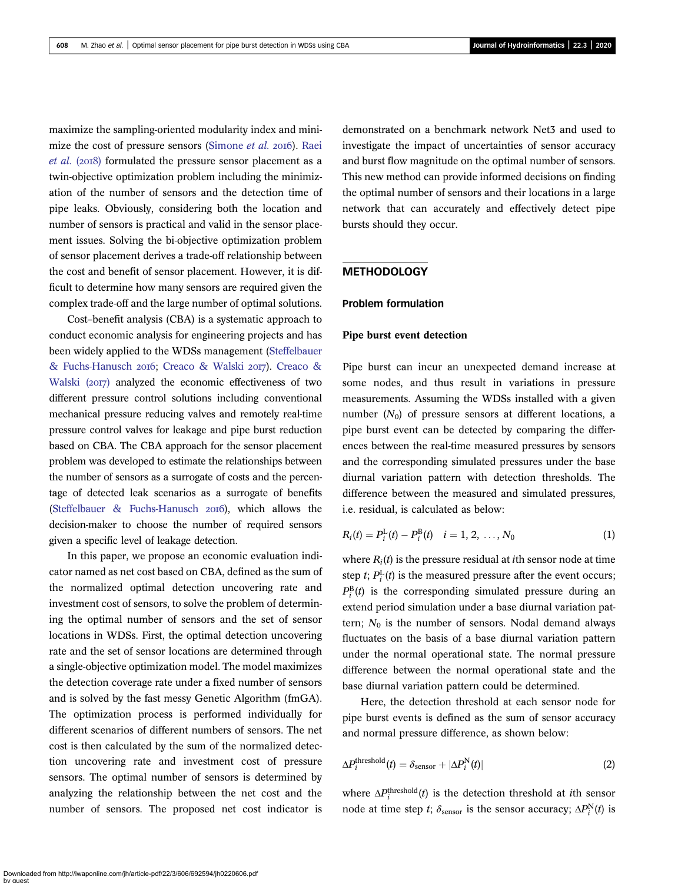maximize the sampling-oriented modularity index and mini-mize the cost of pressure sensors ([Simone](#page-12-0) et al. 2016). [Raei](#page-12-0)  $et al. (2018)$  $et al. (2018)$  formulated the pressure sensor placement as a twin-objective optimization problem including the minimization of the number of sensors and the detection time of pipe leaks. Obviously, considering both the location and number of sensors is practical and valid in the sensor placement issues. Solving the bi-objective optimization problem of sensor placement derives a trade-off relationship between the cost and benefit of sensor placement. However, it is difficult to determine how many sensors are required given the complex trade-off and the large number of optimal solutions.

Cost–benefit analysis (CBA) is a systematic approach to conduct economic analysis for engineering projects and has been widely applied to the WDSs management ([Steffelbauer](#page-12-0) [& Fuchs-Hanusch](#page-12-0) 2016; [Creaco & Walski](#page-11-0) 2017). [Creaco &](#page-11-0) Walski  $(2017)$  analyzed the economic effectiveness of two different pressure control solutions including conventional mechanical pressure reducing valves and remotely real-time pressure control valves for leakage and pipe burst reduction based on CBA. The CBA approach for the sensor placement problem was developed to estimate the relationships between the number of sensors as a surrogate of costs and the percentage of detected leak scenarios as a surrogate of benefits [\(Steffelbauer & Fuchs-Hanusch](#page-12-0) 2016), which allows the decision-maker to choose the number of required sensors given a specific level of leakage detection.

In this paper, we propose an economic evaluation indicator named as net cost based on CBA, defined as the sum of the normalized optimal detection uncovering rate and investment cost of sensors, to solve the problem of determining the optimal number of sensors and the set of sensor locations in WDSs. First, the optimal detection uncovering rate and the set of sensor locations are determined through a single-objective optimization model. The model maximizes the detection coverage rate under a fixed number of sensors and is solved by the fast messy Genetic Algorithm (fmGA). The optimization process is performed individually for different scenarios of different numbers of sensors. The net cost is then calculated by the sum of the normalized detection uncovering rate and investment cost of pressure sensors. The optimal number of sensors is determined by analyzing the relationship between the net cost and the number of sensors. The proposed net cost indicator is demonstrated on a benchmark network Net3 and used to investigate the impact of uncertainties of sensor accuracy and burst flow magnitude on the optimal number of sensors. This new method can provide informed decisions on finding the optimal number of sensors and their locations in a large network that can accurately and effectively detect pipe bursts should they occur.

#### **METHODOLOGY**

#### Problem formulation

#### Pipe burst event detection

Pipe burst can incur an unexpected demand increase at some nodes, and thus result in variations in pressure measurements. Assuming the WDSs installed with a given number  $(N_0)$  of pressure sensors at different locations, a pipe burst event can be detected by comparing the differences between the real-time measured pressures by sensors and the corresponding simulated pressures under the base diurnal variation pattern with detection thresholds. The difference between the measured and simulated pressures, i.e. residual, is calculated as below:

$$
R_i(t) = P_i^{\text{L}}(t) - P_i^{\text{B}}(t) \quad i = 1, 2, ..., N_0
$$
 (1)

where  $R_i(t)$  is the pressure residual at *i*th sensor node at time step *t*;  $P_i^L(t)$  is the measured pressure after the event occurs;  $P_i^{\text{B}}(t)$  is the corresponding simulated pressure during an extend period simulation under a base diurnal variation pattern;  $N_0$  is the number of sensors. Nodal demand always fluctuates on the basis of a base diurnal variation pattern under the normal operational state. The normal pressure difference between the normal operational state and the base diurnal variation pattern could be determined.

Here, the detection threshold at each sensor node for pipe burst events is defined as the sum of sensor accuracy and normal pressure difference, as shown below:

$$
\Delta P_i^{\text{threshold}}(t) = \delta_{\text{sensor}} + |\Delta P_i^{\text{N}}(t)| \tag{2}
$$

where  $\Delta P_i^{\text{threshold}}(t)$  is the detection threshold at *i*th sensor node at time step t;  $\delta_{\text{sensor}}$  is the sensor accuracy;  $\Delta P_i^N(t)$  is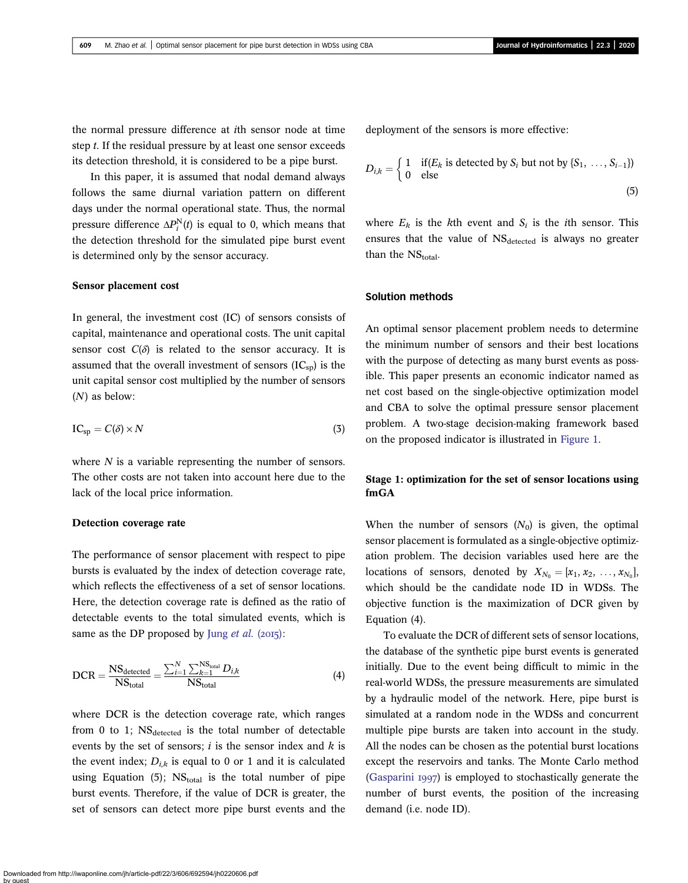the normal pressure difference at ith sensor node at time step t. If the residual pressure by at least one sensor exceeds its detection threshold, it is considered to be a pipe burst.

In this paper, it is assumed that nodal demand always follows the same diurnal variation pattern on different days under the normal operational state. Thus, the normal pressure difference  $\Delta P_i^N(t)$  is equal to 0, which means that the detection threshold for the simulated pipe burst event is determined only by the sensor accuracy.

#### Sensor placement cost

In general, the investment cost (IC) of sensors consists of capital, maintenance and operational costs. The unit capital sensor cost  $C(\delta)$  is related to the sensor accuracy. It is assumed that the overall investment of sensors  $(IC_{\rm SD})$  is the unit capital sensor cost multiplied by the number of sensors (N) as below:

$$
IC_{\rm sp} = C(\delta) \times N \tag{3}
$$

where  $N$  is a variable representing the number of sensors. The other costs are not taken into account here due to the lack of the local price information.

#### Detection coverage rate

The performance of sensor placement with respect to pipe bursts is evaluated by the index of detection coverage rate, which reflects the effectiveness of a set of sensor locations. Here, the detection coverage rate is defined as the ratio of detectable events to the total simulated events, which is same as the DP proposed by Jung [et al.](#page-12-0)  $(2015)$ :

$$
DCR = \frac{NS_{\text{detected}}}{NS_{\text{total}}} = \frac{\sum_{i=1}^{N} \sum_{k=1}^{NS_{\text{total}}} D_{i,k}}{NS_{\text{total}}}
$$
(4)

where DCR is the detection coverage rate, which ranges from  $0$  to 1;  $NS_{\text{detected}}$  is the total number of detectable events by the set of sensors;  $i$  is the sensor index and  $k$  is the event index;  $D_{i,k}$  is equal to 0 or 1 and it is calculated using Equation  $(5)$ ; NS<sub>total</sub> is the total number of pipe burst events. Therefore, if the value of DCR is greater, the set of sensors can detect more pipe burst events and the deployment of the sensors is more effective:

$$
D_{i,k} = \begin{cases} 1 & \text{if}(E_k \text{ is detected by } S_i \text{ but not by } \{S_1, \ldots, S_{i-1}\})\\ 0 & \text{else} \end{cases}
$$
(5)

where  $E_k$  is the kth event and  $S_i$  is the *i*th sensor. This ensures that the value of  $NS_{\text{detected}}$  is always no greater than the  $NS$ <sub>total</sub>.

#### Solution methods

An optimal sensor placement problem needs to determine the minimum number of sensors and their best locations with the purpose of detecting as many burst events as possible. This paper presents an economic indicator named as net cost based on the single-objective optimization model and CBA to solve the optimal pressure sensor placement problem. A two-stage decision-making framework based on the proposed indicator is illustrated in [Figure 1](#page-4-0).

## Stage 1: optimization for the set of sensor locations using fmGA

When the number of sensors  $(N_0)$  is given, the optimal sensor placement is formulated as a single-objective optimization problem. The decision variables used here are the locations of sensors, denoted by  $X_{N_0} = [x_1, x_2, \ldots, x_{N_0}],$ which should be the candidate node ID in WDSs. The objective function is the maximization of DCR given by Equation (4).

To evaluate the DCR of different sets of sensor locations, the database of the synthetic pipe burst events is generated initially. Due to the event being difficult to mimic in the real-world WDSs, the pressure measurements are simulated by a hydraulic model of the network. Here, pipe burst is simulated at a random node in the WDSs and concurrent multiple pipe bursts are taken into account in the study. All the nodes can be chosen as the potential burst locations except the reservoirs and tanks. The Monte Carlo method [\(Gasparini](#page-12-0) 1997) is employed to stochastically generate the number of burst events, the position of the increasing demand (i.e. node ID).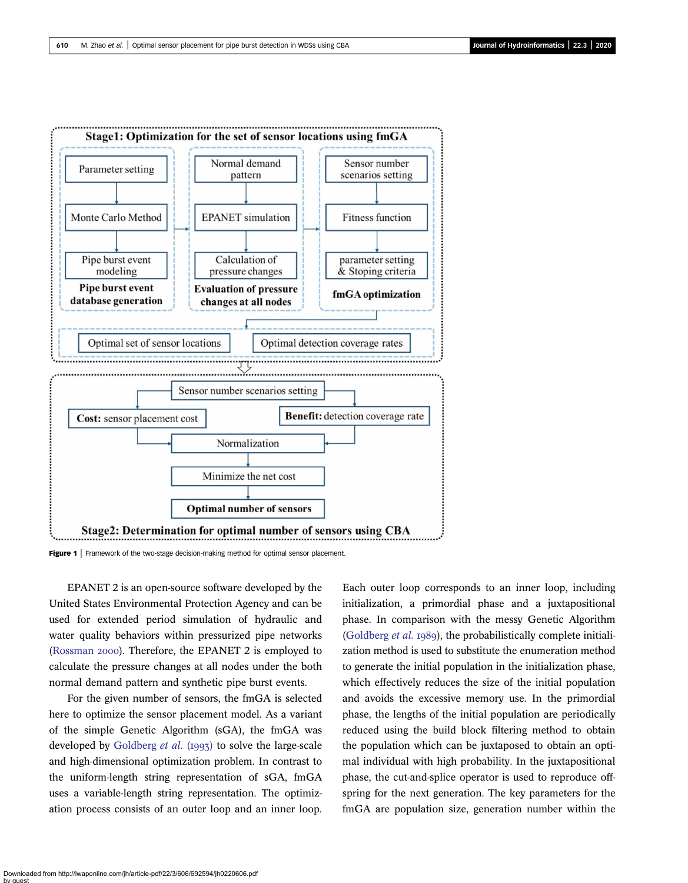<span id="page-4-0"></span>

Figure 1 | Framework of the two-stage decision-making method for optimal sensor placement.

EPANET 2 is an open-source software developed by the United States Environmental Protection Agency and can be used for extended period simulation of hydraulic and water quality behaviors within pressurized pipe networks ([Rossman](#page-12-0) 2000). Therefore, the EPANET 2 is employed to calculate the pressure changes at all nodes under the both normal demand pattern and synthetic pipe burst events.

For the given number of sensors, the fmGA is selected here to optimize the sensor placement model. As a variant of the simple Genetic Algorithm (sGA), the fmGA was developed by [Goldberg](#page-12-0)  $et$  al. (1993) to solve the large-scale and high-dimensional optimization problem. In contrast to the uniform-length string representation of sGA, fmGA uses a variable-length string representation. The optimization process consists of an outer loop and an inner loop. Each outer loop corresponds to an inner loop, including initialization, a primordial phase and a juxtapositional phase. In comparison with the messy Genetic Algorithm ([Goldberg](#page-12-0) *et al.* 1989), the probabilistically complete initialization method is used to substitute the enumeration method to generate the initial population in the initialization phase, which effectively reduces the size of the initial population and avoids the excessive memory use. In the primordial phase, the lengths of the initial population are periodically reduced using the build block filtering method to obtain the population which can be juxtaposed to obtain an optimal individual with high probability. In the juxtapositional phase, the cut-and-splice operator is used to reproduce offspring for the next generation. The key parameters for the fmGA are population size, generation number within the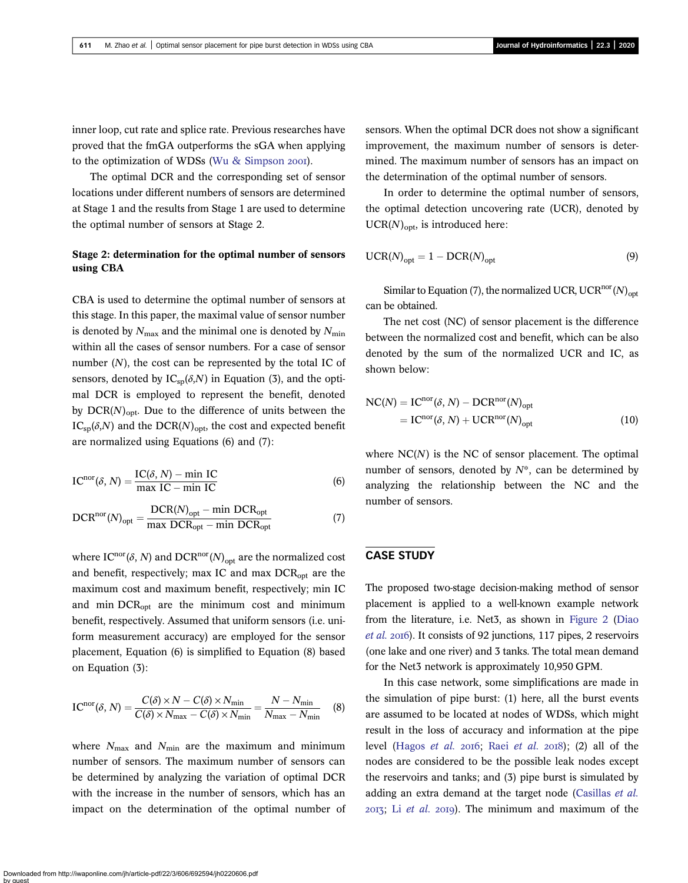inner loop, cut rate and splice rate. Previous researches have proved that the fmGA outperforms the sGA when applying to the optimization of WDSs [\(Wu & Simpson](#page-12-0) 2001).

The optimal DCR and the corresponding set of sensor locations under different numbers of sensors are determined at Stage 1 and the results from Stage 1 are used to determine the optimal number of sensors at Stage 2.

## Stage 2: determination for the optimal number of sensors using CBA

CBA is used to determine the optimal number of sensors at this stage. In this paper, the maximal value of sensor number is denoted by  $N_{\text{max}}$  and the minimal one is denoted by  $N_{\text{min}}$ within all the cases of sensor numbers. For a case of sensor number  $(N)$ , the cost can be represented by the total IC of sensors, denoted by  $IC_{\text{sp}}(\delta, N)$  in Equation (3), and the optimal DCR is employed to represent the benefit, denoted by  $DCR(N)_{opt}$ . Due to the difference of units between the  $IC_{sp}(\delta, N)$  and the DCR(N)<sub>opt</sub>, the cost and expected benefit are normalized using Equations (6) and (7):

$$
ICnor(\delta, N) = \frac{IC(\delta, N) - min IC}{max IC - min IC}
$$
 (6)

$$
DCRnor(N)opt = \frac{DCR(N)opt - min DCRopt}{max DCRopt - min DCRopt}
$$
 (7)

where  $IC^{nor}(\delta, N)$  and  $DCR^{nor}(N)_{opt}$  are the normalized cost and benefit, respectively; max IC and max  $DCR_{opt}$  are the maximum cost and maximum benefit, respectively; min IC and min DCRopt are the minimum cost and minimum benefit, respectively. Assumed that uniform sensors (i.e. uniform measurement accuracy) are employed for the sensor placement, Equation (6) is simplified to Equation (8) based on Equation (3):

$$
IC^{nor}(\delta, N) = \frac{C(\delta) \times N - C(\delta) \times N_{min}}{C(\delta) \times N_{max} - C(\delta) \times N_{min}} = \frac{N - N_{min}}{N_{max} - N_{min}} \quad (8)
$$

where  $N_{\text{max}}$  and  $N_{\text{min}}$  are the maximum and minimum number of sensors. The maximum number of sensors can be determined by analyzing the variation of optimal DCR with the increase in the number of sensors, which has an impact on the determination of the optimal number of sensors. When the optimal DCR does not show a significant improvement, the maximum number of sensors is determined. The maximum number of sensors has an impact on the determination of the optimal number of sensors.

In order to determine the optimal number of sensors, the optimal detection uncovering rate (UCR), denoted by  $UCR(N)_{\text{opt}}$ , is introduced here:

$$
UCR(N)_{opt} = 1 - DCR(N)_{opt}
$$
 (9)

Similar to Equation (7), the normalized UCR, UCR<sup>nor</sup>(N)<sub>opt</sub> can be obtained.

The net cost (NC) of sensor placement is the difference between the normalized cost and benefit, which can be also denoted by the sum of the normalized UCR and IC, as shown below:

$$
NC(N) = ICnor(\delta, N) - DCRnor(N)opt
$$
  
= IC<sup>nor</sup>(\delta, N) + UCR<sup>nor</sup>(N)<sub>opt</sub> (10)

where  $NC(N)$  is the NC of sensor placement. The optimal number of sensors, denoted by  $N^*$ , can be determined by analyzing the relationship between the NC and the number of sensors.

### CASE STUDY

The proposed two-stage decision-making method of sensor placement is applied to a well-known example network from the literature, i.e. Net3, as shown in [Figure 2](#page-6-0) [\(Diao](#page-12-0) [et al.](#page-12-0) 2016). It consists of 92 junctions, 117 pipes, 2 reservoirs (one lake and one river) and 3 tanks. The total mean demand for the Net3 network is approximately 10,950 GPM.

In this case network, some simplifications are made in the simulation of pipe burst: (1) here, all the burst events are assumed to be located at nodes of WDSs, which might result in the loss of accuracy and information at the pipe level ([Hagos](#page-12-0) [et al.](#page-12-0) 2016; Raei et al. 2018); (2) all of the nodes are considered to be the possible leak nodes except the reservoirs and tanks; and (3) pipe burst is simulated by adding an extra demand at the target node [\(Casillas](#page-11-0) *et al.*)  $2013$ ; Li [et al.](#page-12-0)  $2019$ ). The minimum and maximum of the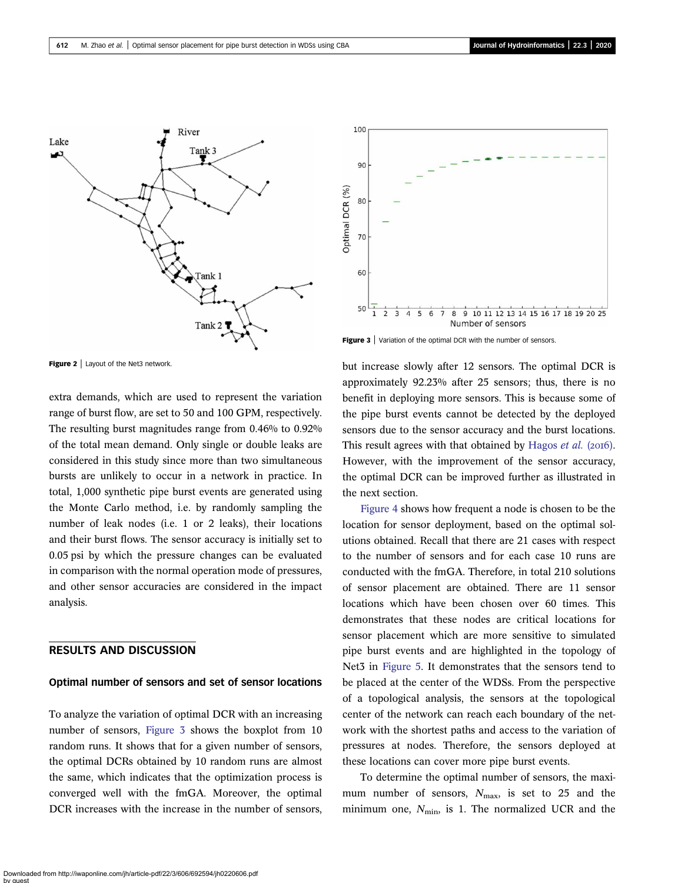<span id="page-6-0"></span>

Figure 2 | Layout of the Net3 network.

extra demands, which are used to represent the variation range of burst flow, are set to 50 and 100 GPM, respectively. The resulting burst magnitudes range from 0.46% to 0.92% of the total mean demand. Only single or double leaks are considered in this study since more than two simultaneous bursts are unlikely to occur in a network in practice. In total, 1,000 synthetic pipe burst events are generated using the Monte Carlo method, i.e. by randomly sampling the number of leak nodes (i.e. 1 or 2 leaks), their locations and their burst flows. The sensor accuracy is initially set to 0.05 psi by which the pressure changes can be evaluated in comparison with the normal operation mode of pressures, and other sensor accuracies are considered in the impact analysis.

## RESULTS AND DISCUSSION

#### Optimal number of sensors and set of sensor locations

To analyze the variation of optimal DCR with an increasing number of sensors, Figure 3 shows the boxplot from 10 random runs. It shows that for a given number of sensors, the optimal DCRs obtained by 10 random runs are almost the same, which indicates that the optimization process is converged well with the fmGA. Moreover, the optimal DCR increases with the increase in the number of sensors,



Figure 3 | Variation of the optimal DCR with the number of sensors.

but increase slowly after 12 sensors. The optimal DCR is approximately 92.23% after 25 sensors; thus, there is no benefit in deploying more sensors. This is because some of the pipe burst events cannot be detected by the deployed sensors due to the sensor accuracy and the burst locations. This result agrees with that obtained by [Hagos](#page-12-0) et al. (2016). However, with the improvement of the sensor accuracy, the optimal DCR can be improved further as illustrated in the next section.

[Figure 4](#page-7-0) shows how frequent a node is chosen to be the location for sensor deployment, based on the optimal solutions obtained. Recall that there are 21 cases with respect to the number of sensors and for each case 10 runs are conducted with the fmGA. Therefore, in total 210 solutions of sensor placement are obtained. There are 11 sensor locations which have been chosen over 60 times. This demonstrates that these nodes are critical locations for sensor placement which are more sensitive to simulated pipe burst events and are highlighted in the topology of Net3 in [Figure 5.](#page-7-0) It demonstrates that the sensors tend to be placed at the center of the WDSs. From the perspective of a topological analysis, the sensors at the topological center of the network can reach each boundary of the network with the shortest paths and access to the variation of pressures at nodes. Therefore, the sensors deployed at these locations can cover more pipe burst events.

To determine the optimal number of sensors, the maximum number of sensors,  $N_{\text{max}}$ , is set to 25 and the minimum one,  $N_{\text{min}}$ , is 1. The normalized UCR and the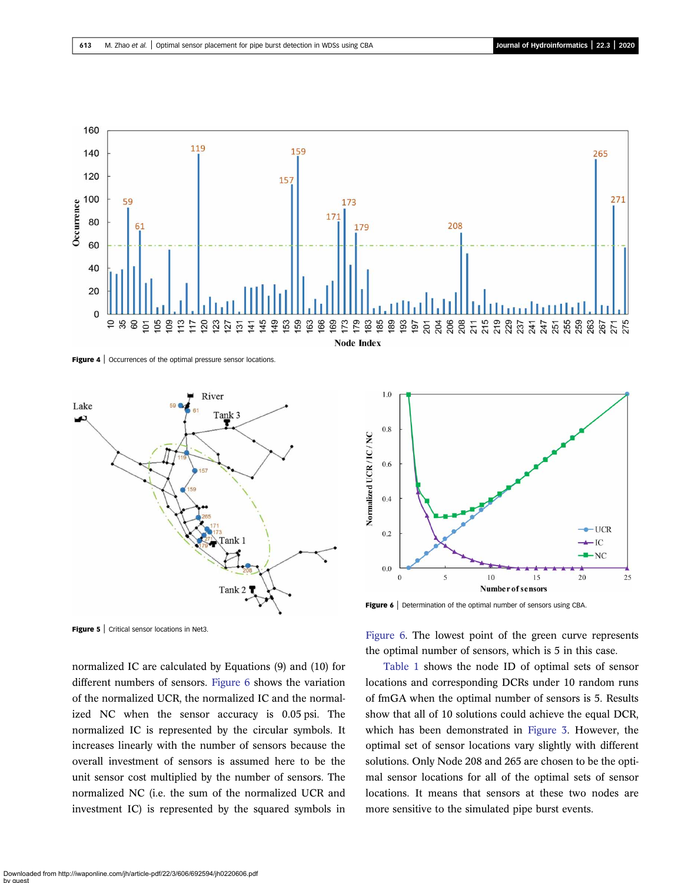<span id="page-7-0"></span>

Figure 4 | Occurrences of the optimal pressure sensor locations.



Figure 5 | Critical sensor locations in Net3.

normalized IC are calculated by Equations (9) and (10) for different numbers of sensors. Figure 6 shows the variation of the normalized UCR, the normalized IC and the normalized NC when the sensor accuracy is 0.05 psi. The normalized IC is represented by the circular symbols. It increases linearly with the number of sensors because the overall investment of sensors is assumed here to be the unit sensor cost multiplied by the number of sensors. The normalized NC (i.e. the sum of the normalized UCR and investment IC) is represented by the squared symbols in



Figure 6 | Determination of the optimal number of sensors using CBA.

Figure 6. The lowest point of the green curve represents the optimal number of sensors, which is 5 in this case.

[Table 1](#page-8-0) shows the node ID of optimal sets of sensor locations and corresponding DCRs under 10 random runs of fmGA when the optimal number of sensors is 5. Results show that all of 10 solutions could achieve the equal DCR, which has been demonstrated in [Figure 3.](#page-6-0) However, the optimal set of sensor locations vary slightly with different solutions. Only Node 208 and 265 are chosen to be the optimal sensor locations for all of the optimal sets of sensor locations. It means that sensors at these two nodes are more sensitive to the simulated pipe burst events.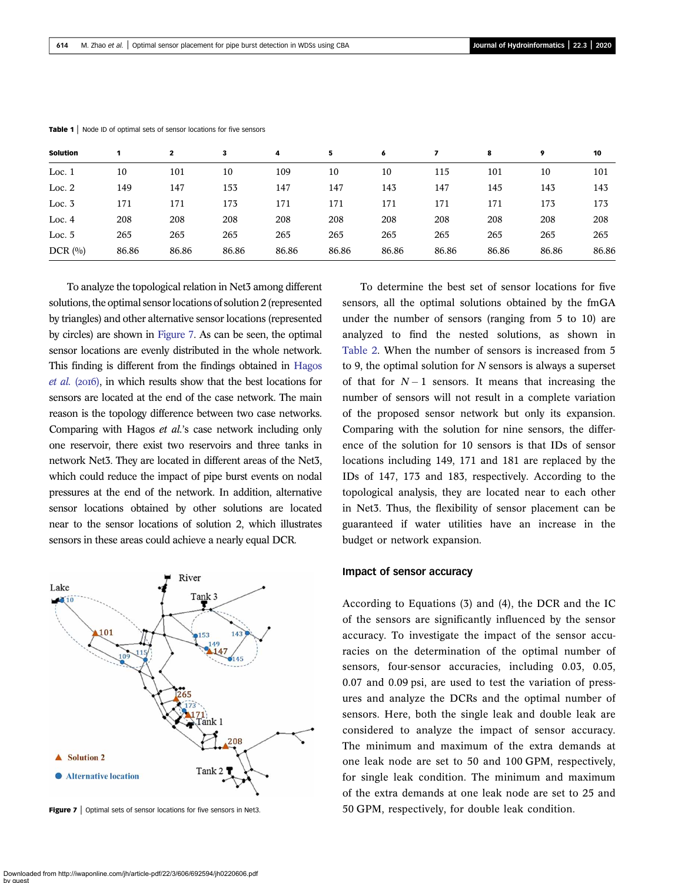| Solution |       | $\mathbf{2}$ | 3     | 4     | 5     | 6     |       | 8     | 9     | 10    |  |
|----------|-------|--------------|-------|-------|-------|-------|-------|-------|-------|-------|--|
| Loc. $1$ | 10    | 101          | 10    | 109   | 10    | 10    | 115   | 101   | 10    | 101   |  |
| Loc. $2$ | 149   | 147          | 153   | 147   | 147   | 143   | 147   | 145   | 143   | 143   |  |
| Loc. $3$ | 171   | 171          | 173   | 171   | 171   | 171   | 171   | 171   | 173   | 173   |  |
| Loc. $4$ | 208   | 208          | 208   | 208   | 208   | 208   | 208   | 208   | 208   | 208   |  |
| Loc. $5$ | 265   | 265          | 265   | 265   | 265   | 265   | 265   | 265   | 265   | 265   |  |
| DCR(0/0) | 86.86 | 86.86        | 86.86 | 86.86 | 86.86 | 86.86 | 86.86 | 86.86 | 86.86 | 86.86 |  |

<span id="page-8-0"></span>Table 1 | Node ID of optimal sets of sensor locations for five sensors

To analyze the topological relation in Net3 among different solutions, the optimal sensor locations of solution 2 (represented by triangles) and other alternative sensor locations (represented by circles) are shown in Figure 7. As can be seen, the optimal sensor locations are evenly distributed in the whole network. This finding is different from the findings obtained in [Hagos](#page-12-0)  $et \ al.$  (2016), in which results show that the best locations for sensors are located at the end of the case network. The main reason is the topology difference between two case networks. Comparing with Hagos et al.'s case network including only one reservoir, there exist two reservoirs and three tanks in network Net3. They are located in different areas of the Net3, which could reduce the impact of pipe burst events on nodal pressures at the end of the network. In addition, alternative sensor locations obtained by other solutions are located near to the sensor locations of solution 2, which illustrates sensors in these areas could achieve a nearly equal DCR.



**Figure 7** | Optimal sets of sensor locations for five sensors in Net3.

To determine the best set of sensor locations for five sensors, all the optimal solutions obtained by the fmGA under the number of sensors (ranging from 5 to 10) are analyzed to find the nested solutions, as shown in [Table 2](#page-9-0). When the number of sensors is increased from 5 to 9, the optimal solution for  $N$  sensors is always a superset of that for  $N-1$  sensors. It means that increasing the number of sensors will not result in a complete variation of the proposed sensor network but only its expansion. Comparing with the solution for nine sensors, the difference of the solution for 10 sensors is that IDs of sensor locations including 149, 171 and 181 are replaced by the IDs of 147, 173 and 183, respectively. According to the topological analysis, they are located near to each other in Net3. Thus, the flexibility of sensor placement can be guaranteed if water utilities have an increase in the budget or network expansion.

#### Impact of sensor accuracy

According to Equations (3) and (4), the DCR and the IC of the sensors are significantly influenced by the sensor accuracy. To investigate the impact of the sensor accuracies on the determination of the optimal number of sensors, four-sensor accuracies, including 0.03, 0.05, 0.07 and 0.09 psi, are used to test the variation of pressures and analyze the DCRs and the optimal number of sensors. Here, both the single leak and double leak are considered to analyze the impact of sensor accuracy. The minimum and maximum of the extra demands at one leak node are set to 50 and 100 GPM, respectively, for single leak condition. The minimum and maximum of the extra demands at one leak node are set to 25 and 50 GPM, respectively, for double leak condition.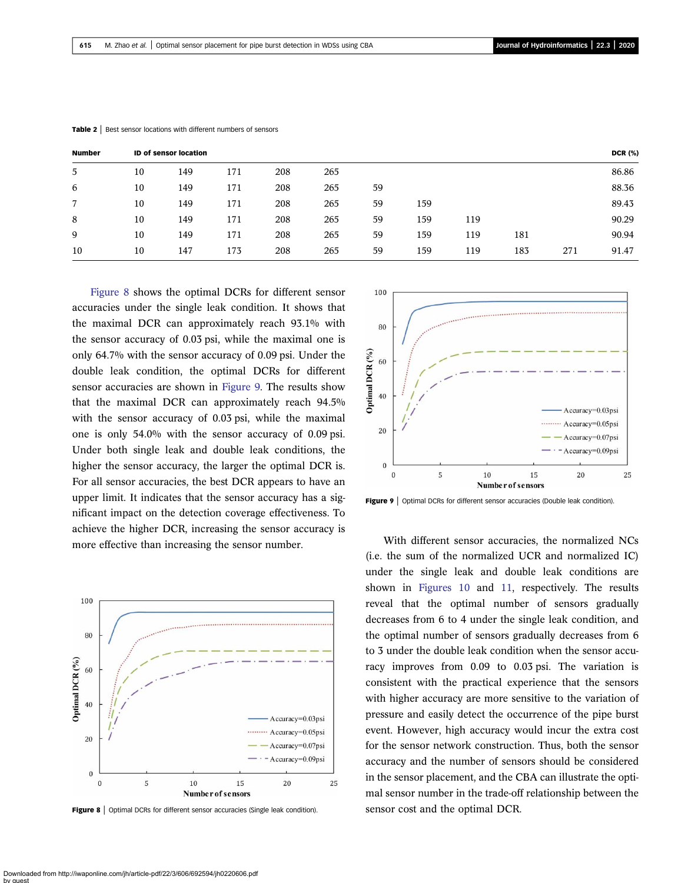| <b>Number</b> | <b>ID of sensor location</b> |     |     |     |     |    |     |     |     | <b>DCR (%)</b> |       |
|---------------|------------------------------|-----|-----|-----|-----|----|-----|-----|-----|----------------|-------|
| 5             | 10                           | 149 | 171 | 208 | 265 |    |     |     |     |                | 86.86 |
| 6             | 10                           | 149 | 171 | 208 | 265 | 59 |     |     |     |                | 88.36 |
| 7             | 10                           | 149 | 171 | 208 | 265 | 59 | 159 |     |     |                | 89.43 |
| 8             | 10                           | 149 | 171 | 208 | 265 | 59 | 159 | 119 |     |                | 90.29 |
| 9             | 10                           | 149 | 171 | 208 | 265 | 59 | 159 | 119 | 181 |                | 90.94 |
| 10            | 10                           | 147 | 173 | 208 | 265 | 59 | 159 | 119 | 183 | 271            | 91.47 |

<span id="page-9-0"></span>Table 2 | Best sensor locations with different numbers of sensors

Figure 8 shows the optimal DCRs for different sensor accuracies under the single leak condition. It shows that the maximal DCR can approximately reach 93.1% with the sensor accuracy of 0.03 psi, while the maximal one is only 64.7% with the sensor accuracy of 0.09 psi. Under the double leak condition, the optimal DCRs for different sensor accuracies are shown in Figure 9. The results show that the maximal DCR can approximately reach 94.5% with the sensor accuracy of 0.03 psi, while the maximal one is only 54.0% with the sensor accuracy of 0.09 psi. Under both single leak and double leak conditions, the higher the sensor accuracy, the larger the optimal DCR is. For all sensor accuracies, the best DCR appears to have an upper limit. It indicates that the sensor accuracy has a significant impact on the detection coverage effectiveness. To achieve the higher DCR, increasing the sensor accuracy is



Figure 8 | Optimal DCRs for different sensor accuracies (Single leak condition).



Figure 9 | Optimal DCRs for different sensor accuracies (Double leak condition).

more effective than increasing the sensor number. With different sensor accuracies, the normalized NCs (i.e. the sum of the normalized UCR and normalized IC) under the single leak and double leak conditions are shown in [Figures 10](#page-10-0) and [11,](#page-10-0) respectively. The results reveal that the optimal number of sensors gradually decreases from 6 to 4 under the single leak condition, and the optimal number of sensors gradually decreases from 6 to 3 under the double leak condition when the sensor accuracy improves from 0.09 to 0.03 psi. The variation is consistent with the practical experience that the sensors with higher accuracy are more sensitive to the variation of pressure and easily detect the occurrence of the pipe burst event. However, high accuracy would incur the extra cost for the sensor network construction. Thus, both the sensor accuracy and the number of sensors should be considered in the sensor placement, and the CBA can illustrate the optimal sensor number in the trade-off relationship between the sensor cost and the optimal DCR.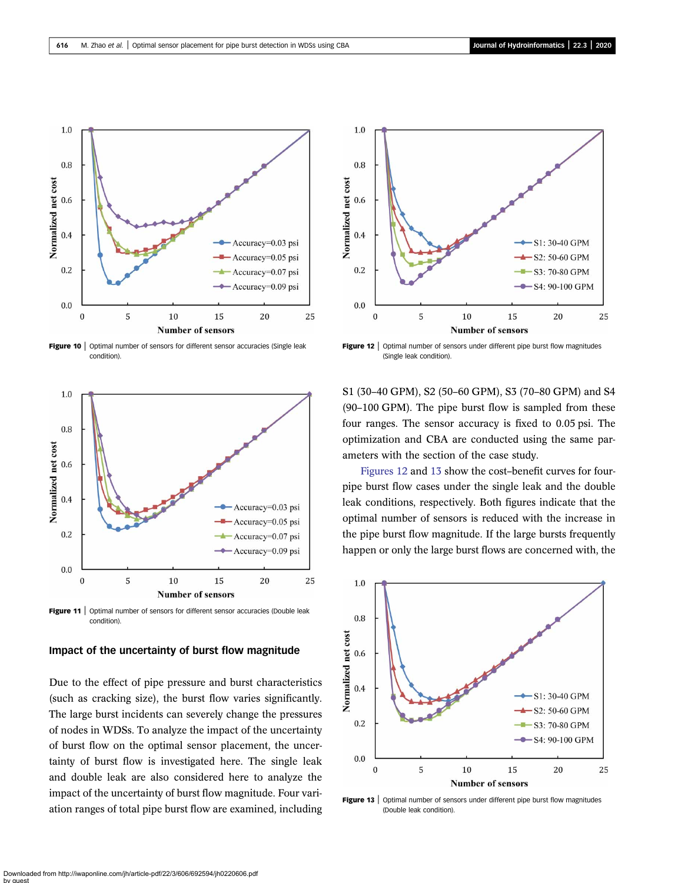<span id="page-10-0"></span>

Figure 10 | Optimal number of sensors for different sensor accuracies (Single leak condition).



Figure 11 | Optimal number of sensors for different sensor accuracies (Double leak condition).

#### Impact of the uncertainty of burst flow magnitude

Due to the effect of pipe pressure and burst characteristics (such as cracking size), the burst flow varies significantly. The large burst incidents can severely change the pressures of nodes in WDSs. To analyze the impact of the uncertainty of burst flow on the optimal sensor placement, the uncertainty of burst flow is investigated here. The single leak and double leak are also considered here to analyze the impact of the uncertainty of burst flow magnitude. Four variation ranges of total pipe burst flow are examined, including



Figure 12 | Optimal number of sensors under different pipe burst flow magnitudes (Single leak condition).

S1 (30–40 GPM), S2 (50–60 GPM), S3 (70–80 GPM) and S4 (90–100 GPM). The pipe burst flow is sampled from these four ranges. The sensor accuracy is fixed to 0.05 psi. The optimization and CBA are conducted using the same parameters with the section of the case study.

Figures 12 and 13 show the cost–benefit curves for fourpipe burst flow cases under the single leak and the double leak conditions, respectively. Both figures indicate that the optimal number of sensors is reduced with the increase in the pipe burst flow magnitude. If the large bursts frequently happen or only the large burst flows are concerned with, the



Figure 13 | Optimal number of sensors under different pipe burst flow magnitudes (Double leak condition).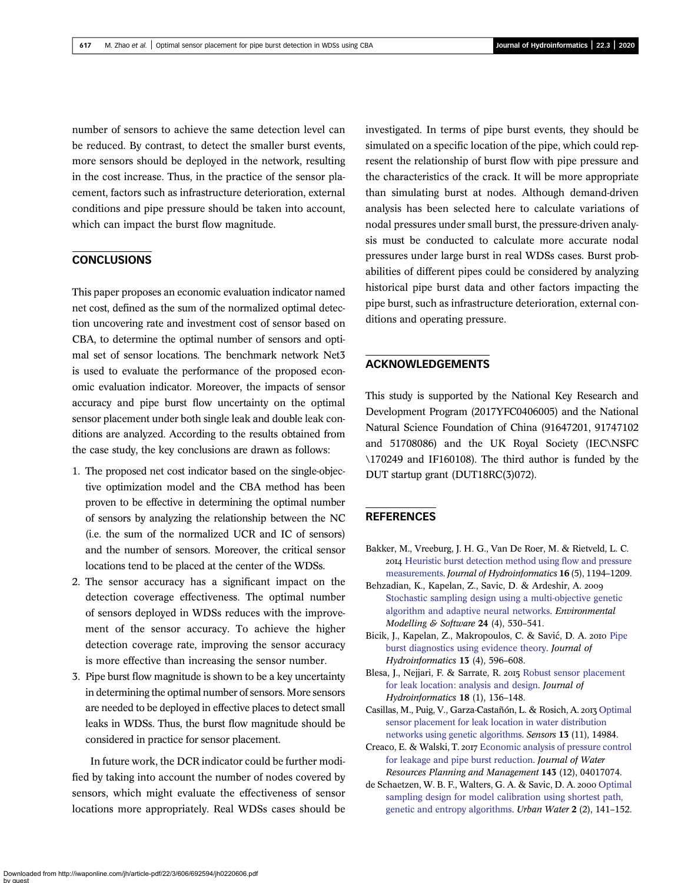<span id="page-11-0"></span>number of sensors to achieve the same detection level can be reduced. By contrast, to detect the smaller burst events, more sensors should be deployed in the network, resulting in the cost increase. Thus, in the practice of the sensor placement, factors such as infrastructure deterioration, external conditions and pipe pressure should be taken into account, which can impact the burst flow magnitude.

## **CONCLUSIONS**

This paper proposes an economic evaluation indicator named net cost, defined as the sum of the normalized optimal detection uncovering rate and investment cost of sensor based on CBA, to determine the optimal number of sensors and optimal set of sensor locations. The benchmark network Net3 is used to evaluate the performance of the proposed economic evaluation indicator. Moreover, the impacts of sensor accuracy and pipe burst flow uncertainty on the optimal sensor placement under both single leak and double leak conditions are analyzed. According to the results obtained from the case study, the key conclusions are drawn as follows:

- 1. The proposed net cost indicator based on the single-objective optimization model and the CBA method has been proven to be effective in determining the optimal number of sensors by analyzing the relationship between the NC (i.e. the sum of the normalized UCR and IC of sensors) and the number of sensors. Moreover, the critical sensor locations tend to be placed at the center of the WDSs.
- 2. The sensor accuracy has a significant impact on the detection coverage effectiveness. The optimal number of sensors deployed in WDSs reduces with the improvement of the sensor accuracy. To achieve the higher detection coverage rate, improving the sensor accuracy is more effective than increasing the sensor number.
- 3. Pipe burst flow magnitude is shown to be a key uncertainty in determining the optimal number of sensors. More sensors are needed to be deployed in effective places to detect small leaks in WDSs. Thus, the burst flow magnitude should be considered in practice for sensor placement.

In future work, the DCR indicator could be further modified by taking into account the number of nodes covered by sensors, which might evaluate the effectiveness of sensor locations more appropriately. Real WDSs cases should be

investigated. In terms of pipe burst events, they should be simulated on a specific location of the pipe, which could represent the relationship of burst flow with pipe pressure and the characteristics of the crack. It will be more appropriate than simulating burst at nodes. Although demand-driven analysis has been selected here to calculate variations of nodal pressures under small burst, the pressure-driven analysis must be conducted to calculate more accurate nodal pressures under large burst in real WDSs cases. Burst probabilities of different pipes could be considered by analyzing historical pipe burst data and other factors impacting the pipe burst, such as infrastructure deterioration, external conditions and operating pressure.

## ACKNOWLEDGEMENTS

This study is supported by the National Key Research and Development Program (2017YFC0406005) and the National Natural Science Foundation of China (91647201, 91747102 and 51708086) and the UK Royal Society (IEC\NSFC \170249 and IF160108). The third author is funded by the DUT startup grant (DUT18RC(3)072).

## REFERENCES

- Bakker, M., Vreeburg, J. H. G., Van De Roer, M. & Rietveld, L. C. [Heuristic burst detection method using](http://dx.doi.org/10.2166/hydro.2014.120) flow and pressure [measurements.](http://dx.doi.org/10.2166/hydro.2014.120) Journal of Hydroinformatics 16 (5), 1194–1209.
- Behzadian, K., Kapelan, Z., Savic, D. & Ardeshir, A. [Stochastic sampling design using a multi-objective genetic](http://dx.doi.org/10.1016/j.envsoft.2008.09.013) [algorithm and adaptive neural networks](http://dx.doi.org/10.1016/j.envsoft.2008.09.013). Environmental Modelling & Software 24 (4), 530–541.
- Bicik, J., Kapelan, Z., Makropoulos, C. & Savić, D. A. 2010 [Pipe](http://dx.doi.org/10.2166/hydro.2010.201) [burst diagnostics using evidence theory.](http://dx.doi.org/10.2166/hydro.2010.201) Journal of Hydroinformatics 13 (4), 596–608.
- Blesa, J., Nejjari, F. & Sarrate, R. 2015 [Robust sensor placement](http://dx.doi.org/10.2166/hydro.2015.021) [for leak location: analysis and design.](http://dx.doi.org/10.2166/hydro.2015.021) Journal of Hydroinformatics 18 (1), 136–148.
- Casillas, M., Puig, V., Garza-Castañón, L. & Rosich, A. 2013 [Optimal](http://dx.doi.org/10.3390/s131114984) [sensor placement for leak location in water distribution](http://dx.doi.org/10.3390/s131114984) [networks using genetic algorithms](http://dx.doi.org/10.3390/s131114984). Sensors 13 (11), 14984.
- Creaco, E. & Walski, T. 2017 [Economic analysis of pressure control](http://dx.doi.org/10.1061/(ASCE)WR.1943-5452.0000846) [for leakage and pipe burst reduction](http://dx.doi.org/10.1061/(ASCE)WR.1943-5452.0000846). Journal of Water Resources Planning and Management 143 (12), 04017074.
- de Schaetzen, W. B. F., Walters, G. A. & Savic, D. A. 2000 [Optimal](http://dx.doi.org/10.1016/S1462-0758(00)00052-2) [sampling design for model calibration using shortest path,](http://dx.doi.org/10.1016/S1462-0758(00)00052-2) [genetic and entropy algorithms.](http://dx.doi.org/10.1016/S1462-0758(00)00052-2) Urban Water 2 (2), 141–152.